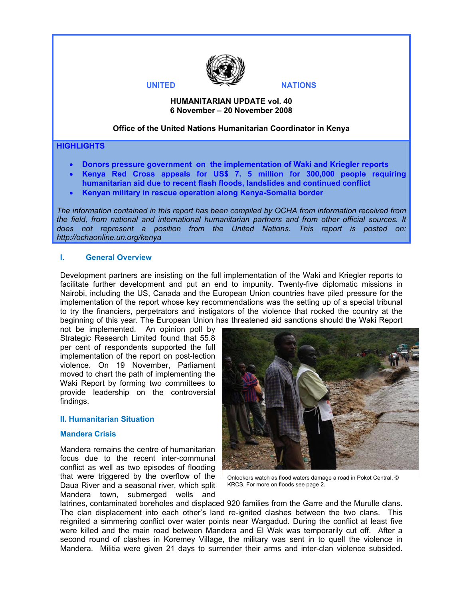

## **HUMANITARIAN UPDATE vol. 40 6 November – 20 November 2008**

## **Office of the United Nations Humanitarian Coordinator in Kenya**

#### **HIGHLIGHTS**

- **Donors pressure government on the implementation of Waki and Kriegler reports**
- **Kenya Red Cross appeals for US\$ 7. 5 million for 300,000 people requiring humanitarian aid due to recent flash floods, landslides and continued conflict**
- **Kenyan military in rescue operation along Kenya-Somalia border**

*The information contained in this report has been compiled by OCHA from information received from the field, from national and international humanitarian partners and from other official sources. It does not represent a position from the United Nations. This report is posted on: http://ochaonline.un.org/kenya*

#### **I. General Overview**

Development partners are insisting on the full implementation of the Waki and Kriegler reports to facilitate further development and put an end to impunity. Twenty-five diplomatic missions in Nairobi, including the US, Canada and the European Union countries have piled pressure for the implementation of the report whose key recommendations was the setting up of a special tribunal to try the financiers, perpetrators and instigators of the violence that rocked the country at the beginning of this year. The European Union has threatened aid sanctions should the Waki Report

not be implemented. An opinion poll by Strategic Research Limited found that 55.8 per cent of respondents supported the full implementation of the report on post-lection violence. On 19 November, Parliament moved to chart the path of implementing the Waki Report by forming two committees to provide leadership on the controversial findings.

#### **II. Humanitarian Situation**

#### **Mandera Crisis**

Mandera remains the centre of humanitarian focus due to the recent inter-communal conflict as well as two episodes of flooding that were triggered by the overflow of the Daua River and a seasonal river, which split Mandera town, submerged wells and



Onlookers watch as flood waters damage a road in Pokot Central. © KRCS. For more on floods see page 2.

latrines, contaminated boreholes and displaced 920 families from the Garre and the Murulle clans. The clan displacement into each other's land re-ignited clashes between the two clans. This reignited a simmering conflict over water points near Wargadud. During the conflict at least five were killed and the main road between Mandera and El Wak was temporarily cut off. After a second round of clashes in Koremey Village, the military was sent in to quell the violence in Mandera. Militia were given 21 days to surrender their arms and inter-clan violence subsided.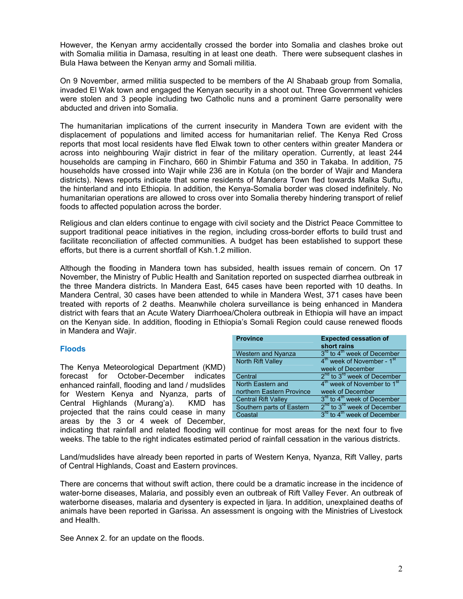However, the Kenyan army accidentally crossed the border into Somalia and clashes broke out with Somalia militia in Damasa, resulting in at least one death. There were subsequent clashes in Bula Hawa between the Kenyan army and Somali militia.

On 9 November, armed militia suspected to be members of the Al Shabaab group from Somalia, invaded El Wak town and engaged the Kenyan security in a shoot out. Three Government vehicles were stolen and 3 people including two Catholic nuns and a prominent Garre personality were abducted and driven into Somalia.

The humanitarian implications of the current insecurity in Mandera Town are evident with the displacement of populations and limited access for humanitarian relief. The Kenya Red Cross reports that most local residents have fled Elwak town to other centers within greater Mandera or across into neighbouring Wajir district in fear of the military operation. Currently, at least 244 households are camping in Fincharo, 660 in Shimbir Fatuma and 350 in Takaba. In addition, 75 households have crossed into Wajir while 236 are in Kotula (on the border of Wajir and Mandera districts). News reports indicate that some residents of Mandera Town fled towards Malka Suftu, the hinterland and into Ethiopia. In addition, the Kenya-Somalia border was closed indefinitely. No humanitarian operations are allowed to cross over into Somalia thereby hindering transport of relief foods to affected population across the border.

Religious and clan elders continue to engage with civil society and the District Peace Committee to support traditional peace initiatives in the region, including cross-border efforts to build trust and facilitate reconciliation of affected communities. A budget has been established to support these efforts, but there is a current shortfall of Ksh.1.2 million.

Although the flooding in Mandera town has subsided, health issues remain of concern. On 17 November, the Ministry of Public Health and Sanitation reported on suspected diarrhea outbreak in the three Mandera districts. In Mandera East, 645 cases have been reported with 10 deaths. In Mandera Central, 30 cases have been attended to while in Mandera West, 371 cases have been treated with reports of 2 deaths. Meanwhile cholera surveillance is being enhanced in Mandera district with fears that an Acute Watery Diarrhoea/Cholera outbreak in Ethiopia will have an impact on the Kenyan side. In addition, flooding in Ethiopia's Somali Region could cause renewed floods in Mandera and Wajir.

## **Floods**

The Kenya Meteorological Department (KMD) forecast for October-December indicates enhanced rainfall, flooding and land / mudslides for Western Kenya and Nyanza, parts of Central Highlands (Murang'a). KMD has projected that the rains could cease in many areas by the 3 or 4 week of December,

| <b>Province</b>            | <b>Expected cessation of</b><br>short rains         |
|----------------------------|-----------------------------------------------------|
| Western and Nyanza         | 3 <sup>rd</sup> to 4 <sup>th</sup> week of December |
| <b>North Rift Valley</b>   | 4 <sup>th</sup> week of November - 1 <sup>st</sup>  |
|                            | week of December                                    |
| Central                    | $2^{nd}$ to $3^{rd}$ week of December               |
| North Eastern and          | 4 <sup>th</sup> week of November to 1 <sup>st</sup> |
| northern Eastern Province  | week of December                                    |
| <b>Central Rift Valley</b> | 3 <sup>rd</sup> to 4 <sup>th</sup> week of December |
| Southern parts of Eastern  | 2 <sup>nd</sup> to 3 <sup>rd</sup> week of December |
| Coastal                    | 3 <sup>rd</sup> to 4 <sup>th</sup> week of December |

indicating that rainfall and related flooding will continue for most areas for the next four to five weeks. The table to the right indicates estimated period of rainfall cessation in the various districts.

Land/mudslides have already been reported in parts of Western Kenya, Nyanza, Rift Valley, parts of Central Highlands, Coast and Eastern provinces.

There are concerns that without swift action, there could be a dramatic increase in the incidence of water-borne diseases, Malaria, and possibly even an outbreak of Rift Valley Fever. An outbreak of waterborne diseases, malaria and dysentery is expected in Ijara. In addition, unexplained deaths of animals have been reported in Garissa. An assessment is ongoing with the Ministries of Livestock and Health.

See Annex 2. for an update on the floods.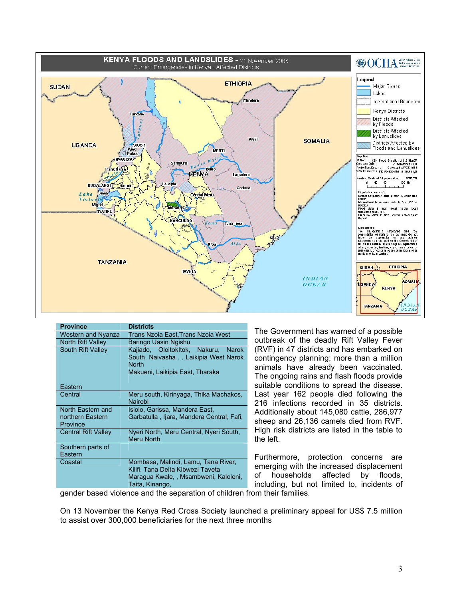

| <b>Province</b>                                   | <b>Districts</b>                                                                                                                          |
|---------------------------------------------------|-------------------------------------------------------------------------------------------------------------------------------------------|
| <b>Western and Nyanza</b>                         | Trans Nzoia East, Trans Nzoia West                                                                                                        |
| <b>North Rift Valley</b>                          | Baringo Uasin Ngishu                                                                                                                      |
| <b>South Rift Valley</b>                          | Kajiado, OloitokItok, Nakuru,<br><b>Narok</b><br>South, Naivasha , Laikipia West Narok<br><b>North</b><br>Makueni, Laikipia East, Tharaka |
| Eastern                                           |                                                                                                                                           |
| Central                                           | Meru south, Kirinyaga, Thika Machakos,<br>Nairobi                                                                                         |
| North Eastern and<br>northern Eastern<br>Province | Isiolo, Garissa, Mandera East,<br>Garbatulla, Ijara, Mandera Central, Fafi,                                                               |
| <b>Central Rift Valley</b>                        | Nyeri North, Meru Central, Nyeri South,<br><b>Meru North</b>                                                                              |
| Southern parts of<br>Eastern                      |                                                                                                                                           |
| Coastal                                           | Mombasa, Malindi, Lamu, Tana River,<br>Kilifi, Tana Delta Kibwezi Taveta<br>Maragua Kwale, , Msambweni, Kaloleni,<br>Taita, Kinango,<br>. |

The Government has warned of a possible outbreak of the deadly Rift Valley Fever (RVF) in 47 districts and has embarked on contingency planning; more than a million animals have already been vaccinated. The ongoing rains and flash floods provide suitable conditions to spread the disease. Last year 162 people died following the 216 infections recorded in 35 districts. Additionally about 145,080 cattle, 286,977 sheep and 26,136 camels died from RVF. High risk districts are listed in the table to the left.

Furthermore, protection concerns are emerging with the increased displacement of households affected by floods, including, but not limited to, incidents of

gender based violence and the separation of children from their families.

On 13 November the Kenya Red Cross Society launched a preliminary appeal for US\$ 7.5 million to assist over 300,000 beneficiaries for the next three months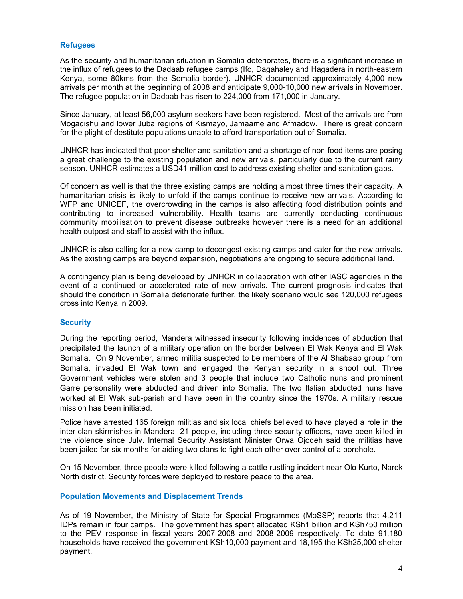#### **Refugees**

As the security and humanitarian situation in Somalia deteriorates, there is a significant increase in the influx of refugees to the Dadaab refugee camps (Ifo, Dagahaley and Hagadera in north-eastern Kenya, some 80kms from the Somalia border). UNHCR documented approximately 4,000 new arrivals per month at the beginning of 2008 and anticipate 9,000-10,000 new arrivals in November. The refugee population in Dadaab has risen to 224,000 from 171,000 in January.

Since January, at least 56,000 asylum seekers have been registered. Most of the arrivals are from Mogadishu and lower Juba regions of Kismayo, Jamaame and Afmadow. There is great concern for the plight of destitute populations unable to afford transportation out of Somalia.

UNHCR has indicated that poor shelter and sanitation and a shortage of non-food items are posing a great challenge to the existing population and new arrivals, particularly due to the current rainy season. UNHCR estimates a USD41 million cost to address existing shelter and sanitation gaps.

Of concern as well is that the three existing camps are holding almost three times their capacity. A humanitarian crisis is likely to unfold if the camps continue to receive new arrivals. According to WFP and UNICEF, the overcrowding in the camps is also affecting food distribution points and contributing to increased vulnerability. Health teams are currently conducting continuous community mobilisation to prevent disease outbreaks however there is a need for an additional health outpost and staff to assist with the influx.

UNHCR is also calling for a new camp to decongest existing camps and cater for the new arrivals. As the existing camps are beyond expansion, negotiations are ongoing to secure additional land.

A contingency plan is being developed by UNHCR in collaboration with other IASC agencies in the event of a continued or accelerated rate of new arrivals. The current prognosis indicates that should the condition in Somalia deteriorate further, the likely scenario would see 120,000 refugees cross into Kenya in 2009.

#### **Security**

During the reporting period, Mandera witnessed insecurity following incidences of abduction that precipitated the launch of a military operation on the border between El Wak Kenya and El Wak Somalia. On 9 November, armed militia suspected to be members of the Al Shabaab group from Somalia, invaded El Wak town and engaged the Kenyan security in a shoot out. Three Government vehicles were stolen and 3 people that include two Catholic nuns and prominent Garre personality were abducted and driven into Somalia. The two Italian abducted nuns have worked at El Wak sub-parish and have been in the country since the 1970s. A military rescue mission has been initiated.

Police have arrested 165 foreign militias and six local chiefs believed to have played a role in the inter-clan skirmishes in Mandera. 21 people, including three security officers, have been killed in the violence since July. Internal Security Assistant Minister Orwa Ojodeh said the militias have been jailed for six months for aiding two clans to fight each other over control of a borehole.

On 15 November, three people were killed following a cattle rustling incident near Olo Kurto, Narok North district. Security forces were deployed to restore peace to the area.

#### **Population Movements and Displacement Trends**

As of 19 November, the Ministry of State for Special Programmes (MoSSP) reports that 4,211 IDPs remain in four camps. The government has spent allocated KSh1 billion and KSh750 million to the PEV response in fiscal years 2007-2008 and 2008-2009 respectively. To date 91,180 households have received the government KSh10,000 payment and 18,195 the KSh25,000 shelter payment.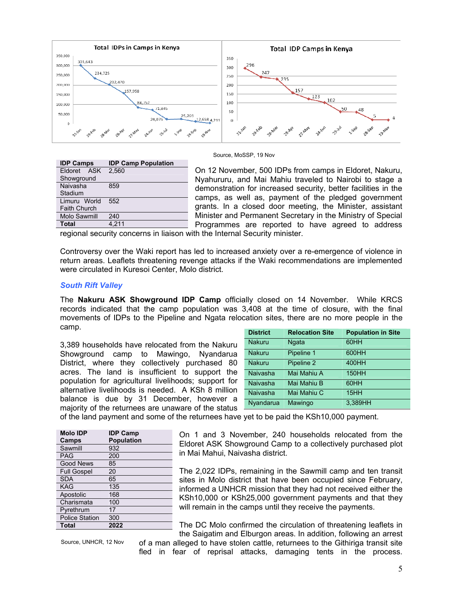

| Source, MoSSP, 19 Nov |
|-----------------------|
|-----------------------|

| <b>IDP Camps</b>    | <b>IDP Camp Population</b> |
|---------------------|----------------------------|
| Eldoret ASK         | 2.560                      |
| Showground          |                            |
| Naivasha            | 859                        |
| Stadium             |                            |
| Limuru World        | 552                        |
| <b>Faith Church</b> |                            |
| <b>Molo Sawmill</b> | 240                        |
| Total               | 4.211                      |

On 12 November, 500 IDPs from camps in Eldoret, Nakuru, Nyahururu, and Mai Mahiu traveled to Nairobi to stage a demonstration for increased security, better facilities in the camps, as well as, payment of the pledged government grants. In a closed door meeting, the Minister, assistant Minister and Permanent Secretary in the Ministry of Special Programmes are reported to have agreed to address

regional security concerns in liaison with the Internal Security minister.

Controversy over the Waki report has led to increased anxiety over a re-emergence of violence in return areas. Leaflets threatening revenge attacks if the Waki recommendations are implemented were circulated in Kuresoi Center, Molo district.

#### *South Rift Valley*

The **Nakuru ASK Showground IDP Camp** officially closed on 14 November. While KRCS records indicated that the camp population was 3,408 at the time of closure, with the final movements of IDPs to the Pipeline and Ngata relocation sites, there are no more people in the camp.

3,389 households have relocated from the Nakuru Showground camp to Mawingo, Nyandarua District, where they collectively purchased 80 acres. The land is insufficient to support the population for agricultural livelihoods; support for alternative livelihoods is needed. A KSh 8 million balance is due by 31 December, however a majority of the returnees are unaware of the status

| <b>District</b> | <b>Relocation Site</b> | <b>Population in Site</b> |
|-----------------|------------------------|---------------------------|
| <b>Nakuru</b>   | Ngata                  | 60HH                      |
| <b>Nakuru</b>   | Pipeline 1             | 600HH                     |
| <b>Nakuru</b>   | Pipeline 2             | 400HH                     |
| Naivasha        | Mai Mahiu A            | <b>150HH</b>              |
| Naivasha        | Mai Mahiu B            | 60HH                      |
| Naivasha        | Mai Mahiu C            | 15HH                      |
| Nyandarua       | Mawingo                | 3.389HH                   |

of the land payment and some of the returnees have yet to be paid the KSh10,000 payment.

| <b>Molo IDP</b>       | <b>IDP Camp</b>   |
|-----------------------|-------------------|
| Camps                 | <b>Population</b> |
| Sawmill               | 932               |
| <b>PAG</b>            | 200               |
| <b>Good News</b>      | 85                |
| <b>Full Gospel</b>    | 20                |
| <b>SDA</b>            | 65                |
| <b>KAG</b>            | 135               |
| Apostolic             | 168               |
| Charismata            | 100               |
| Pyrethrum             | 17                |
| <b>Police Station</b> | 300               |
| Total                 | 2022              |

On 1 and 3 November, 240 households relocated from the Eldoret ASK Showground Camp to a collectively purchased plot in Mai Mahui, Naivasha district.

The 2,022 IDPs, remaining in the Sawmill camp and ten transit sites in Molo district that have been occupied since February, informed a UNHCR mission that they had not received either the KSh10,000 or KSh25,000 government payments and that they will remain in the camps until they receive the payments.

The DC Molo confirmed the circulation of threatening leaflets in the Saigatim and Elburgon areas. In addition, following an arrest

Source, UNHCR, 12 Nov

of a man alleged to have stolen cattle, returnees to the Githiriga transit site fled in fear of reprisal attacks, damaging tents in the process.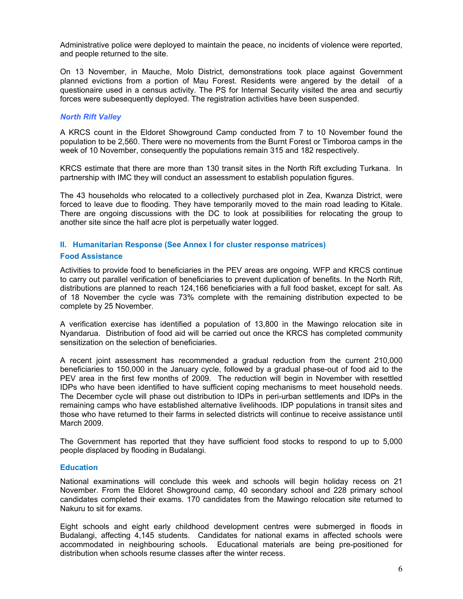Administrative police were deployed to maintain the peace, no incidents of violence were reported, and people returned to the site.

On 13 November, in Mauche, Molo District, demonstrations took place against Government planned evictions from a portion of Mau Forest. Residents were angered by the detail of a questionaire used in a census activity. The PS for Internal Security visited the area and securtiy forces were subesequently deployed. The registration activities have been suspended.

## *North Rift Valley*

A KRCS count in the Eldoret Showground Camp conducted from 7 to 10 November found the population to be 2,560. There were no movements from the Burnt Forest or Timboroa camps in the week of 10 November, consequently the populations remain 315 and 182 respectively.

KRCS estimate that there are more than 130 transit sites in the North Rift excluding Turkana. In partnership with IMC they will conduct an assessment to establish population figures.

The 43 households who relocated to a collectively purchased plot in Zea, Kwanza District, were forced to leave due to flooding. They have temporarily moved to the main road leading to Kitale. There are ongoing discussions with the DC to look at possibilities for relocating the group to another site since the half acre plot is perpetually water logged.

## **II. Humanitarian Response (See Annex I for cluster response matrices)**

## **Food Assistance**

Activities to provide food to beneficiaries in the PEV areas are ongoing. WFP and KRCS continue to carry out parallel verification of beneficiaries to prevent duplication of benefits. In the North Rift, distributions are planned to reach 124,166 beneficiaries with a full food basket, except for salt. As of 18 November the cycle was 73% complete with the remaining distribution expected to be complete by 25 November.

A verification exercise has identified a population of 13,800 in the Mawingo relocation site in Nyandarua. Distribution of food aid will be carried out once the KRCS has completed community sensitization on the selection of beneficiaries.

A recent joint assessment has recommended a gradual reduction from the current 210,000 beneficiaries to 150,000 in the January cycle, followed by a gradual phase-out of food aid to the PEV area in the first few months of 2009. The reduction will begin in November with resettled IDPs who have been identified to have sufficient coping mechanisms to meet household needs. The December cycle will phase out distribution to IDPs in peri-urban settlements and IDPs in the remaining camps who have established alternative livelihoods. IDP populations in transit sites and those who have returned to their farms in selected districts will continue to receive assistance until March 2009.

The Government has reported that they have sufficient food stocks to respond to up to 5,000 people displaced by flooding in Budalangi.

#### **Education**

National examinations will conclude this week and schools will begin holiday recess on 21 November. From the Eldoret Showground camp, 40 secondary school and 228 primary school candidates completed their exams. 170 candidates from the Mawingo relocation site returned to Nakuru to sit for exams.

Eight schools and eight early childhood development centres were submerged in floods in Budalangi, affecting 4,145 students. Candidates for national exams in affected schools were accommodated in neighbouring schools. Educational materials are being pre-positioned for distribution when schools resume classes after the winter recess.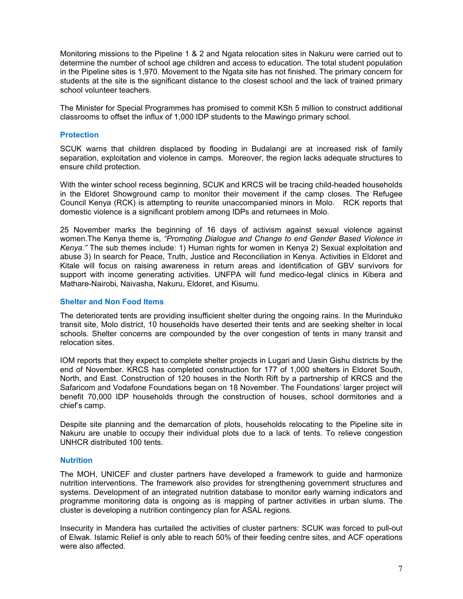Monitoring missions to the Pipeline 1 & 2 and Ngata relocation sites in Nakuru were carried out to determine the number of school age children and access to education. The total student population in the Pipeline sites is 1,970. Movement to the Ngata site has not finished. The primary concern for students at the site is the significant distance to the closest school and the lack of trained primary school volunteer teachers.

The Minister for Special Programmes has promised to commit KSh 5 million to construct additional classrooms to offset the influx of 1,000 IDP students to the Mawingo primary school.

#### **Protection**

SCUK warns that children displaced by flooding in Budalangi are at increased risk of family separation, exploitation and violence in camps. Moreover, the region lacks adequate structures to ensure child protection.

With the winter school recess beginning, SCUK and KRCS will be tracing child-headed households in the Eldoret Showground camp to monitor their movement if the camp closes. The Refugee Council Kenya (RCK) is attempting to reunite unaccompanied minors in Molo. RCK reports that domestic violence is a significant problem among IDPs and returnees in Molo.

25 November marks the beginning of 16 days of activism against sexual violence against women.The Kenya theme is, *"Promoting Dialogue and Change to end Gender Based Violence in Kenya."* The sub themes include: 1) Human rights for women in Kenya 2) Sexual exploitation and abuse 3) In search for Peace, Truth, Justice and Reconciliation in Kenya. Activities in Eldoret and Kitale will focus on raising awareness in return areas and identification of GBV survivors for support with income generating activities. UNFPA will fund medico-legal clinics in Kibera and Mathare-Nairobi, Naivasha, Nakuru, Eldoret, and Kisumu.

#### **Shelter and Non Food Items**

The deteriorated tents are providing insufficient shelter during the ongoing rains. In the Murinduko transit site, Molo district, 10 households have deserted their tents and are seeking shelter in local schools. Shelter concerns are compounded by the over congestion of tents in many transit and relocation sites.

IOM reports that they expect to complete shelter projects in Lugari and Uasin Gishu districts by the end of November. KRCS has completed construction for 177 of 1,000 shelters in Eldoret South, North, and East. Construction of 120 houses in the North Rift by a partnership of KRCS and the Safaricom and Vodafone Foundations began on 18 November. The Foundations' larger project will benefit 70,000 IDP households through the construction of houses, school dormitories and a chief's camp.

Despite site planning and the demarcation of plots, households relocating to the Pipeline site in Nakuru are unable to occupy their individual plots due to a lack of tents. To relieve congestion UNHCR distributed 100 tents.

#### **Nutrition**

The MOH, UNICEF and cluster partners have developed a framework to guide and harmonize nutrition interventions. The framework also provides for strengthening government structures and systems. Development of an integrated nutrition database to monitor early warning indicators and programme monitoring data is ongoing as is mapping of partner activities in urban slums. The cluster is developing a nutrition contingency plan for ASAL regions.

Insecurity in Mandera has curtailed the activities of cluster partners: SCUK was forced to pull-out of Elwak. Islamic Relief is only able to reach 50% of their feeding centre sites, and ACF operations were also affected.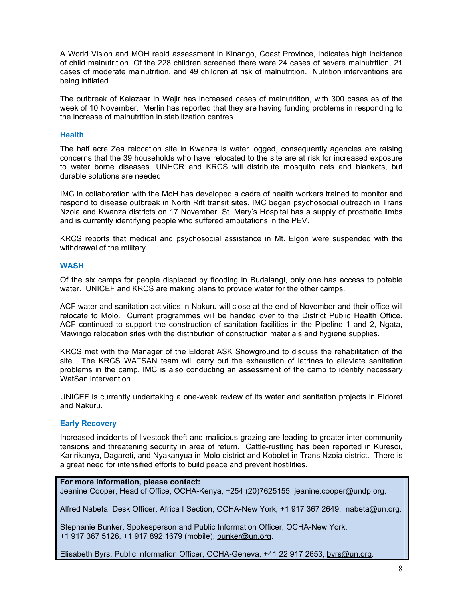A World Vision and MOH rapid assessment in Kinango, Coast Province, indicates high incidence of child malnutrition. Of the 228 children screened there were 24 cases of severe malnutrition, 21 cases of moderate malnutrition, and 49 children at risk of malnutrition. Nutrition interventions are being initiated.

The outbreak of Kalazaar in Wajir has increased cases of malnutrition, with 300 cases as of the week of 10 November. Merlin has reported that they are having funding problems in responding to the increase of malnutrition in stabilization centres.

#### **Health**

The half acre Zea relocation site in Kwanza is water logged, consequently agencies are raising concerns that the 39 households who have relocated to the site are at risk for increased exposure to water borne diseases. UNHCR and KRCS will distribute mosquito nets and blankets, but durable solutions are needed.

IMC in collaboration with the MoH has developed a cadre of health workers trained to monitor and respond to disease outbreak in North Rift transit sites. IMC began psychosocial outreach in Trans Nzoia and Kwanza districts on 17 November. St. Mary's Hospital has a supply of prosthetic limbs and is currently identifying people who suffered amputations in the PEV.

KRCS reports that medical and psychosocial assistance in Mt. Elgon were suspended with the withdrawal of the military.

#### **WASH**

Of the six camps for people displaced by flooding in Budalangi, only one has access to potable water. UNICEF and KRCS are making plans to provide water for the other camps.

ACF water and sanitation activities in Nakuru will close at the end of November and their office will relocate to Molo. Current programmes will be handed over to the District Public Health Office. ACF continued to support the construction of sanitation facilities in the Pipeline 1 and 2, Ngata, Mawingo relocation sites with the distribution of construction materials and hygiene supplies.

KRCS met with the Manager of the Eldoret ASK Showground to discuss the rehabilitation of the site. The KRCS WATSAN team will carry out the exhaustion of latrines to alleviate sanitation problems in the camp. IMC is also conducting an assessment of the camp to identify necessary WatSan intervention.

UNICEF is currently undertaking a one-week review of its water and sanitation projects in Eldoret and Nakuru.

#### **Early Recovery**

Increased incidents of livestock theft and malicious grazing are leading to greater inter-community tensions and threatening security in area of return. Cattle-rustling has been reported in Kuresoi, Karirikanya, Dagareti, and Nyakanyua in Molo district and Kobolet in Trans Nzoia district. There is a great need for intensified efforts to build peace and prevent hostilities.

## **For more information, please contact:**

Jeanine Cooper, Head of Office, OCHA-Kenya, +254 (20)7625155, jeanine.cooper@undp.org.

Alfred Nabeta, Desk Officer, Africa I Section, OCHA-New York, +1 917 367 2649, nabeta@un.org.

Stephanie Bunker, Spokesperson and Public Information Officer, OCHA-New York, +1 917 367 5126, +1 917 892 1679 (mobile), bunker@un.org.

Elisabeth Byrs, Public Information Officer, OCHA-Geneva, +41 22 917 2653, byrs@un.org.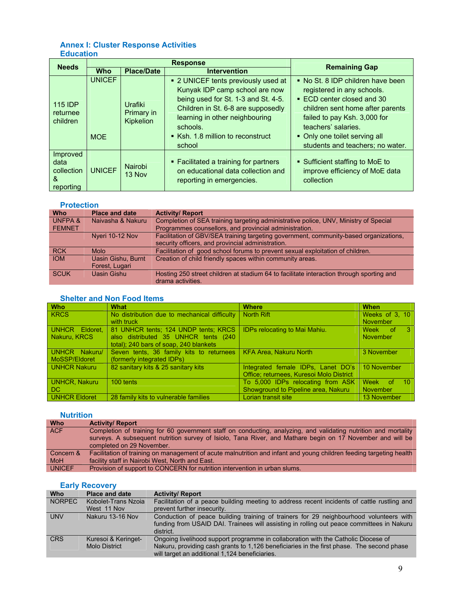# **Annex I: Cluster Response Activities Education**

| <b>Needs</b>                                     | <b>Response</b>             |                                           |                                                                                                                                                                                                                                                 | <b>Remaining Gap</b>                                                                                                                                                                                                                                          |
|--------------------------------------------------|-----------------------------|-------------------------------------------|-------------------------------------------------------------------------------------------------------------------------------------------------------------------------------------------------------------------------------------------------|---------------------------------------------------------------------------------------------------------------------------------------------------------------------------------------------------------------------------------------------------------------|
|                                                  | <b>Who</b>                  | <b>Place/Date</b>                         | <b>Intervention</b>                                                                                                                                                                                                                             |                                                                                                                                                                                                                                                               |
| <b>115 IDP</b><br>returnee<br>children           | <b>UNICEF</b><br><b>MOE</b> | Urafiki<br>Primary in<br><b>Kipkelion</b> | • 2 UNICEF tents previously used at<br>Kunyak IDP camp school are now<br>being used for St. 1-3 and St. 4-5.<br>Children in St. 6-8 are supposedly<br>learning in other neighbouring<br>schools.<br>■ Ksh. 1.8 million to reconstruct<br>school | • No St. 8 IDP children have been<br>registered in any schools.<br>■ ECD center closed and 30<br>children sent home after parents<br>failed to pay Ksh. 3,000 for<br>teachers' salaries.<br>• Only one toilet serving all<br>students and teachers; no water. |
| Improved<br>data<br>collection<br>&<br>reporting | <b>UNICEF</b>               | Nairobi<br>13 Nov                         | • Facilitated a training for partners<br>on educational data collection and<br>reporting in emergencies.                                                                                                                                        | • Sufficient staffing to MoE to<br>improve efficiency of MoE data<br>collection                                                                                                                                                                               |

#### **Protection**

| <b>Who</b>        | <b>Place and date</b> | <b>Activity/ Report</b>                                                                                       |
|-------------------|-----------------------|---------------------------------------------------------------------------------------------------------------|
| <b>UNFPA&amp;</b> | Naivasha & Nakuru     | Completion of SEA training targeting administrative police, UNV, Ministry of Special                          |
| <b>FEMNET</b>     |                       | Programmes counsellors, and provincial administration.                                                        |
|                   | Nyeri 10-12 Nov       | Facilitation of GBV/SEA training targeting government, community-based organizations,                         |
|                   |                       | security officers, and provincial administration.                                                             |
| <b>RCK</b>        | <b>Molo</b>           | Facilitation of good school forums to prevent sexual exploitation of children.                                |
| <b>IOM</b>        | Uasin Gishu, Burnt    | Creation of child friendly spaces within community areas.                                                     |
|                   | Forest, Lugari        |                                                                                                               |
| <b>SCUK</b>       | Uasin Gishu           | Hosting 250 street children at stadium 64 to facilitate interaction through sporting and<br>drama activities. |

# **Shelter and Non Food Items**

| <b>Who</b>     | What                                         | <b>Where</b>                             | When                           |
|----------------|----------------------------------------------|------------------------------------------|--------------------------------|
| <b>KRCS</b>    | No distribution due to mechanical difficulty | <b>North Rift</b>                        | Weeks of 3, 10                 |
|                | with truck                                   |                                          | November                       |
| UNHCR Eldoret. | 81 UNHCR tents: 124 UNDP tents: KRCS         | <b>IDPs relocating to Mai Mahiu.</b>     | Week of<br>-3.                 |
| Nakuru, KRCS   | also distributed 35 UNHCR tents (240         |                                          | <b>November</b>                |
|                | total); 240 bars of soap, 240 blankets       |                                          |                                |
| UNHCR Nakuru/  | Seven tents, 36 family kits to returnees     | <b>KFA Area, Nakuru North</b>            | 3 November                     |
| MoSSP/Eldoret  | (formerly integrated IDPs)                   |                                          |                                |
| UNHCR Nakuru   | 82 sanitary kits & 25 sanitary kits          | Integrated female IDPs, Lanet DO's       | 10 November                    |
|                |                                              | Office: returnees, Kuresoi Molo District |                                |
| UNHCR, Nakuru  | 100 tents                                    | To 5,000 IDPs relocating from ASK        | Week<br>of.<br>10 <sup>°</sup> |
| l DC.          |                                              | Showground to Pipeline area, Nakuru      | <b>November</b>                |
| UNHCR Eldoret  | 28 family kits to vulnerable families        | Lorian transit site                      | 13 November                    |

## **Nutrition**

| <b>Who</b>    | <b>Activity/ Report</b>                                                                                             |
|---------------|---------------------------------------------------------------------------------------------------------------------|
| ACF.          | Completion of training for 60 government staff on conducting, analyzing, and validating nutrition and mortality     |
|               | surveys. A subsequent nutrition survey of Isiolo, Tana River, and Mathare begin on 17 November and will be          |
|               | completed on 29 November.                                                                                           |
| Concern &     | Facilitation of training on management of acute malnutrition and infant and young children feeding targeting health |
| <b>MoH</b>    | facility staff in Nairobi West, North and East.                                                                     |
| <b>UNICEF</b> | Provision of support to CONCERN for nutrition intervention in urban slums.                                          |

#### **Early Recovery**

| <b>Who</b>    | <b>Place and date</b>                       | <b>Activity/ Report</b>                                                                                                                                                                                                           |
|---------------|---------------------------------------------|-----------------------------------------------------------------------------------------------------------------------------------------------------------------------------------------------------------------------------------|
| <b>NORPEC</b> | Kobolet-Trans Nzoia                         | Facilitation of a peace building meeting to address recent incidents of cattle rustling and                                                                                                                                       |
|               | West 11 Nov                                 | prevent further insecurity.                                                                                                                                                                                                       |
| <b>UNV</b>    | Nakuru 13-16 Nov                            | Conduction of peace building training of trainers for 29 neighbourhood volunteers with<br>funding from USAID DAI. Trainees will assisting in rolling out peace committees in Nakuru<br>district.                                  |
| <b>CRS</b>    | Kuresoi & Keringet-<br><b>Molo District</b> | Ongoing livelihood support programme in collaboration with the Catholic Diocese of<br>Nakuru, providing cash grants to 1,126 beneficiaries in the first phase. The second phase<br>will target an additional 1,124 beneficiaries. |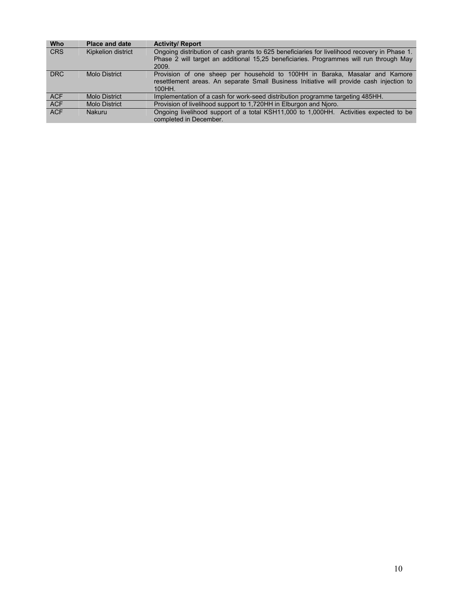| Who        | <b>Place and date</b> | <b>Activity/ Report</b>                                                                                                                                                           |
|------------|-----------------------|-----------------------------------------------------------------------------------------------------------------------------------------------------------------------------------|
| <b>CRS</b> | Kipkelion district    | Ongoing distribution of cash grants to 625 beneficiaries for livelihood recovery in Phase 1.                                                                                      |
|            |                       | Phase 2 will target an additional 15.25 beneficiaries. Programmes will run through May<br>2009.                                                                                   |
| <b>DRC</b> | Molo District         | Provision of one sheep per household to 100HH in Baraka, Masalar and Kamore<br>resettlement areas. An separate Small Business Initiative will provide cash injection to<br>100HH. |
| <b>ACF</b> | <b>Molo District</b>  | Implementation of a cash for work-seed distribution programme targeting 485HH.                                                                                                    |
| <b>ACF</b> | <b>Molo District</b>  | Provision of livelihood support to 1,720HH in Elburgon and Nioro.                                                                                                                 |
| <b>ACF</b> | <b>Nakuru</b>         | Ongoing livelihood support of a total KSH11,000 to 1,000HH. Activities expected to be<br>completed in December.                                                                   |
|            |                       |                                                                                                                                                                                   |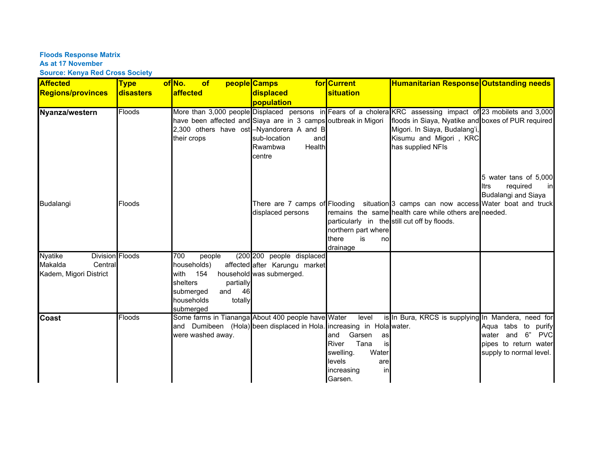**Floods Response Matrix** 

#### **As at 17 November**

**Source: Kenya Red Cross Society**

| <b>Affected</b>                                                                          | <b>Type</b>   | of No.<br>of                                                                                                                           | people Camps                                                                                                                                                             | for Current                                                                                                               | <b>Humanitarian Response Outstanding needs</b>                                                                                                                                                                                                     |                                                                                                          |
|------------------------------------------------------------------------------------------|---------------|----------------------------------------------------------------------------------------------------------------------------------------|--------------------------------------------------------------------------------------------------------------------------------------------------------------------------|---------------------------------------------------------------------------------------------------------------------------|----------------------------------------------------------------------------------------------------------------------------------------------------------------------------------------------------------------------------------------------------|----------------------------------------------------------------------------------------------------------|
| <b>Regions/provinces</b>                                                                 | disasters     | affected                                                                                                                               | displaced                                                                                                                                                                | <b>situation</b>                                                                                                          |                                                                                                                                                                                                                                                    |                                                                                                          |
|                                                                                          |               |                                                                                                                                        | population                                                                                                                                                               |                                                                                                                           |                                                                                                                                                                                                                                                    |                                                                                                          |
| Nyanza/western                                                                           | <b>Floods</b> | their crops                                                                                                                            | have been affected and Siaya are in 3 camps outbreak in Migori<br>2,300 others have ost -Nyandorera A and B<br>sub-location<br>and<br><b>Health</b><br>Rwambwa<br>centre |                                                                                                                           | More than 3,000 people Displaced persons in Fears of a cholera KRC assessing impact of 23 mobilets and 3,000<br>floods in Siaya, Nyatike and boxes of PUR required<br>Migori. In Siaya, Budalang'i,<br>Kisumu and Migori, KRC<br>has supplied NFIs |                                                                                                          |
| Budalangi                                                                                | Floods        |                                                                                                                                        | displaced persons                                                                                                                                                        | northern part where<br>is<br>there<br>no<br>drainage                                                                      | There are 7 camps of Flooding situation 3 camps can now access Water boat and truck<br>remains the same health care while others are needed.<br>particularly in the still cut off by floods.                                                       | 5 water tans of 5,000<br>required<br><b>Itrs</b><br>in<br>Budalangi and Siaya                            |
| <b>Nyatike</b><br><b>Division Floods</b><br>Makalda<br>Central<br>Kadem, Migori District |               | 700<br>people<br>households)<br>154<br>with<br>shelters<br>partially<br>and<br>submerged<br>- 46<br>households<br>totally<br>submerged | (200 200 people displaced<br>affected after Karungu market<br>household was submerged.                                                                                   |                                                                                                                           |                                                                                                                                                                                                                                                    |                                                                                                          |
| <b>Coast</b>                                                                             | <b>Floods</b> | were washed away.                                                                                                                      | Some farms in Tiananga About 400 people have Water<br>and Dumibeen (Hola) been displaced in Hola. increasing in Hola water.                                              | level<br>Garsen<br>and<br>as<br>Tana<br>River<br>is<br>swelling.<br>Water<br>levels<br>are<br>in<br>increasing<br>Garsen. | is In Bura, KRCS is supplying In Mandera, need for                                                                                                                                                                                                 | Aqua tabs to<br>purify<br>water and 6"<br><b>PVC</b><br>pipes to return water<br>supply to normal level. |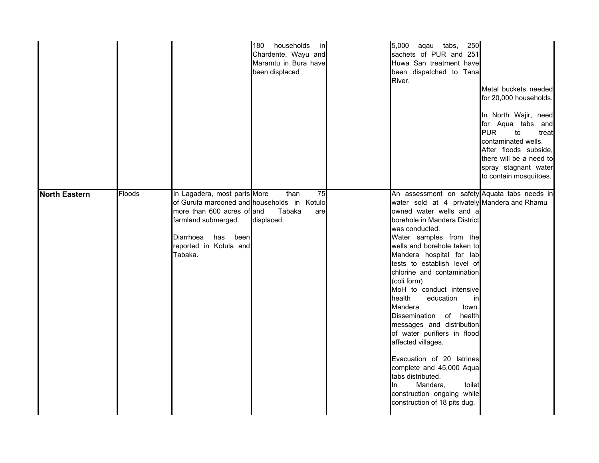|                      |        |                                                                                                                                                                                                   | 180 households<br>in<br>Chardente, Wayu and<br>Maramtu in Bura have<br>been displaced | 5,000 aqau tabs,<br>250<br>sachets of PUR and 251<br>Huwa San treatment have<br>been dispatched to Tana<br>River.                                                                                                                                                                                                                                                                                                                                                                                                                                                                                                                                                                                            | Metal buckets needed<br>for 20,000 households.<br>In North Wajir, need<br>for Aqua tabs and<br><b>PUR</b><br>to<br>treat<br>contaminated wells.<br>After floods subside,<br>there will be a need to<br>spray stagnant water<br>to contain mosquitoes. |
|----------------------|--------|---------------------------------------------------------------------------------------------------------------------------------------------------------------------------------------------------|---------------------------------------------------------------------------------------|--------------------------------------------------------------------------------------------------------------------------------------------------------------------------------------------------------------------------------------------------------------------------------------------------------------------------------------------------------------------------------------------------------------------------------------------------------------------------------------------------------------------------------------------------------------------------------------------------------------------------------------------------------------------------------------------------------------|-------------------------------------------------------------------------------------------------------------------------------------------------------------------------------------------------------------------------------------------------------|
| <b>North Eastern</b> | Floods | In Lagadera, most parts More<br>of Gurufa marooned and households in Kotulo<br>more than 600 acres of and<br>farmland submerged.<br>Diarrhoea<br>been<br>has<br>reported in Kotula and<br>Tabaka. | than<br>$\overline{75}$<br>Tabaka<br>are<br>displaced.                                | An assessment on safety Aquata tabs needs in<br>water sold at 4 privately Mandera and Rhamu<br>owned water wells and a<br>borehole in Mandera District<br>was conducted.<br>Water samples from the<br>wells and borehole taken to<br>Mandera hospital for lab<br>tests to establish level of<br>chlorine and contamination<br>(coli form)<br>MoH to conduct intensive<br>health<br>education<br>in<br>Mandera<br>town.<br>Dissemination of health<br>messages and distribution<br>of water purifiers in flood<br>affected villages.<br>Evacuation of 20 latrines<br>complete and 45,000 Aqua<br>tabs distributed.<br>Mandera,<br>toilet<br>In.<br>construction ongoing while<br>construction of 18 pits dug. |                                                                                                                                                                                                                                                       |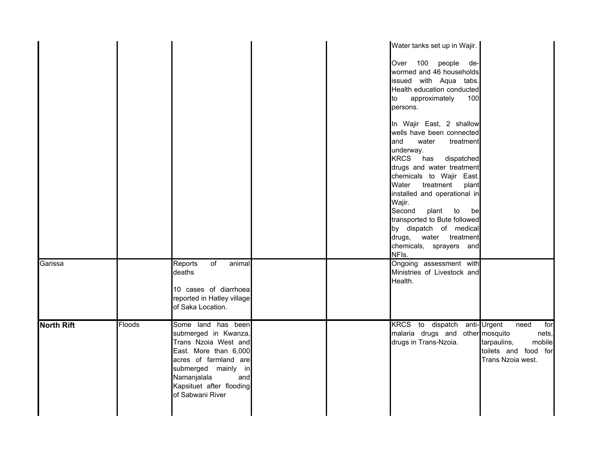|                   |        |                                                                                                                                                                                                                   | Water tanks set up in Wajir.<br>Over 100 people de-<br>wormed and 46 households<br>issued with Aqua tabs.<br>Health education conducted<br>approximately<br>100<br>to<br>persons.<br>In Wajir East, 2 shallow<br>wells have been connected<br>water<br>and<br>treatment<br>underway.<br>KRCS has dispatched<br>drugs and water treatment<br>chemicals to Wajir East.<br>Water<br>treatment<br>plant<br>installed and operational in<br>Wajir.<br>Second<br>plant<br>to<br>bel<br>transported to Bute followed<br>by dispatch of medical<br>drugs, water treatment<br>chemicals, sprayers and<br>NFIs. |
|-------------------|--------|-------------------------------------------------------------------------------------------------------------------------------------------------------------------------------------------------------------------|-------------------------------------------------------------------------------------------------------------------------------------------------------------------------------------------------------------------------------------------------------------------------------------------------------------------------------------------------------------------------------------------------------------------------------------------------------------------------------------------------------------------------------------------------------------------------------------------------------|
| Garissa           |        | Reports<br>of<br>animal<br>deaths<br>10 cases of diarrhoea<br>reported in Hatley village<br>of Saka Location.                                                                                                     | Ongoing assessment with<br>Ministries of Livestock and<br>Health.                                                                                                                                                                                                                                                                                                                                                                                                                                                                                                                                     |
| <b>North Rift</b> | Floods | Some land has been<br>submerged in Kwanza,<br>Trans Nzoia West and<br>East. More than 6,000<br>acres of farmland are<br>submerged mainly in<br>Namanjalala<br>and<br>Kapsituet after flooding<br>of Sabwani River | KRCS to dispatch anti-Urgent<br>need<br>for<br>malaria drugs and other mosquito<br>nets,<br>drugs in Trans-Nzoia.<br>tarpaulins,<br>mobile<br>toilets and food for<br>Trans Nzoia west.                                                                                                                                                                                                                                                                                                                                                                                                               |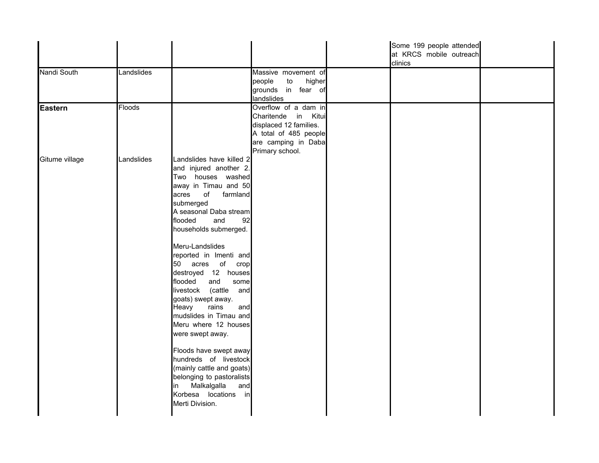|                |            |                                                                                                                                                                                                                                                                                                                                                                                                                                                                                                                                                                                                                                                                     |                                                                                                                                          | Some 199 people attended<br>at KRCS mobile outreach<br>clinics |  |
|----------------|------------|---------------------------------------------------------------------------------------------------------------------------------------------------------------------------------------------------------------------------------------------------------------------------------------------------------------------------------------------------------------------------------------------------------------------------------------------------------------------------------------------------------------------------------------------------------------------------------------------------------------------------------------------------------------------|------------------------------------------------------------------------------------------------------------------------------------------|----------------------------------------------------------------|--|
| Nandi South    | Landslides |                                                                                                                                                                                                                                                                                                                                                                                                                                                                                                                                                                                                                                                                     | Massive movement of<br>people<br>to<br>higher<br>grounds in fear of<br>landslides                                                        |                                                                |  |
| <b>Eastern</b> | Floods     |                                                                                                                                                                                                                                                                                                                                                                                                                                                                                                                                                                                                                                                                     | Overflow of a dam in<br>Charitende in Kitui<br>displaced 12 families.<br>A total of 485 people<br>are camping in Daba<br>Primary school. |                                                                |  |
| Gitume village | Landslides | Landslides have killed 2<br>and injured another 2.<br>Two houses washed<br>away in Timau and 50<br>of farmland<br>acres<br>submerged<br>A seasonal Daba stream<br>and<br>flooded<br>92<br>households submerged.<br>Meru-Landslides<br>reported in Imenti and<br>50 acres of crop<br>destroyed 12 houses<br>and<br>flooded<br>some<br>livestock (cattle and<br>goats) swept away.<br>Heavy<br>rains<br>and<br>mudslides in Timau and<br>Meru where 12 houses<br>were swept away.<br>Floods have swept away<br>hundreds of livestock<br>(mainly cattle and goats)<br>belonging to pastoralists<br>Malkalgalla<br>and<br>in<br>Korbesa locations in<br>Merti Division. |                                                                                                                                          |                                                                |  |